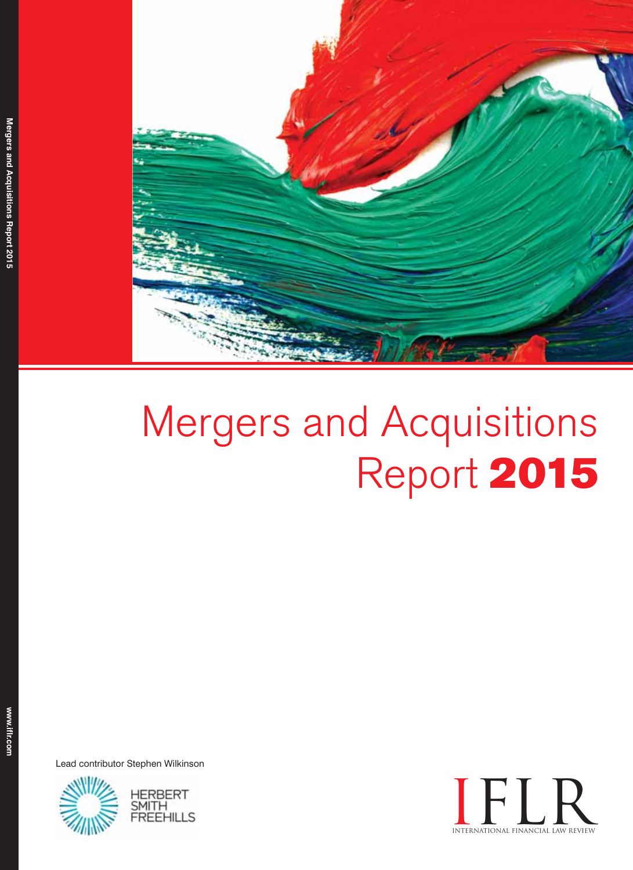

# Mergers and Acquisitions Report 2015

Lead contributor Stephen Wilkinson



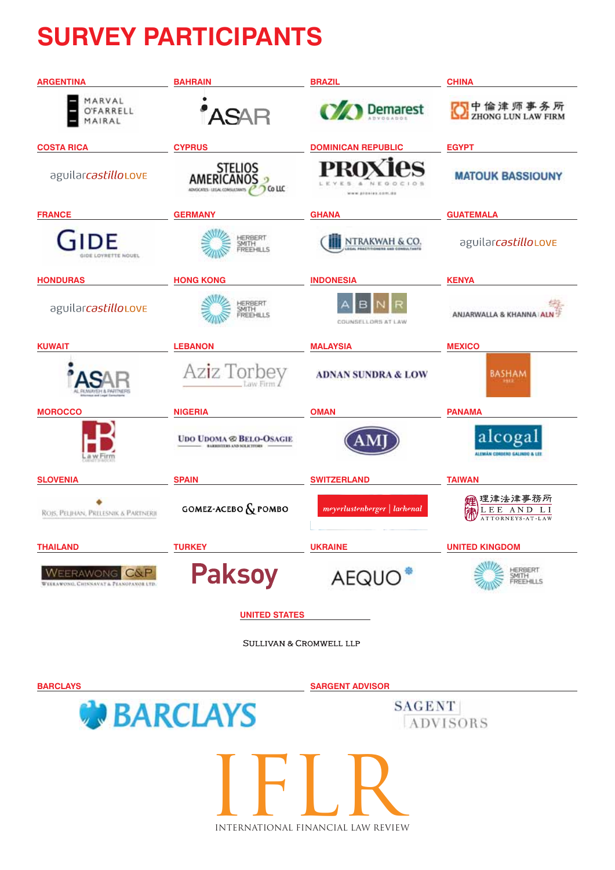## **SURVEY PARTICIPANTS**

| <b>ARGENTINA</b>                                                   | <b>BAHRAIN</b>                                                   | <b>BRAZIL</b>                 | <b>CHINA</b>                            |
|--------------------------------------------------------------------|------------------------------------------------------------------|-------------------------------|-----------------------------------------|
| MARVAL<br>FARRELL<br>AIRAL                                         |                                                                  | <b>Demarest</b>               | 中倫津师事务所<br><b>ZHONG LUN LAW FIRM</b>    |
| <b>COSTA RICA</b>                                                  | <b>CYPRUS</b>                                                    | <b>DOMINICAN REPUBLIC</b>     | <b>EGYPT</b>                            |
| aguilarcastilloLOVE                                                | STELIOS<br>AMERICANOS<br>Co LLC<br>ADVOCATES - LEGAL CONSULTANTS | G<br>www.prosess.com.do       | <b>MATOUK BASSIOUNY</b>                 |
| <b>FRANCE</b>                                                      | <b>GERMANY</b>                                                   | <b>GHANA</b>                  | <b>GUATEMALA</b>                        |
| חה<br><b>IDE LOVRETTE NOUEL</b>                                    | HERBERT<br>SMITH<br><b>FREEHILLS</b>                             | NTRAKWAH & CO.                | aguilarcastilloLOVE                     |
| <b>HONDURAS</b>                                                    | <b>HONG KONG</b>                                                 | <b>INDONESIA</b>              | <b>KENYA</b>                            |
| aguilarcastilloLOVE                                                | HERBERT<br>SMITH<br>FREEHILLS                                    | COUNSELLORS AT LAW            | ANJARWALLA & KHANNA ALN                 |
| <b>KUWAIT</b>                                                      | <b>LEBANON</b>                                                   | <b>MALAYSIA</b>               | <b>MEXICO</b>                           |
| <b><i>NEH &amp; BARTNER</i></b>                                    | Aziz Torbev                                                      | <b>ADNAN SUNDRA &amp; LOW</b> | <b>BASHAM</b>                           |
| <b>MOROCCO</b>                                                     | <b>NIGERIA</b>                                                   | <b>OMAN</b>                   | <b>PANAMA</b>                           |
| a w Firm                                                           | <b>UDO UDOMA &amp; BELO-OSAGIE</b><br>BARBISTERS AND SOLICITORS  |                               | alcogal<br>ALEMÁN COROERO GALINDO & LEE |
| <b>SLOVENIA</b>                                                    | <b>SPAIN</b>                                                     | <b>SWITZERLAND</b>            | <b>TAIWAN</b>                           |
| ROIS, PELIHAN, PRELESNIK & PARTNERII                               | <b>GOMEZ-ACEBO</b> & POMBO                                       | meyerlustenberger   lachenal  | 津法津事務所<br>A N D<br>ATTORNEYS-AT-LAW     |
| <b>THAILAND</b>                                                    | <b>TURKEY</b>                                                    | <b>UKRAINE</b>                | <b>UNITED KINGDOM</b>                   |
| $C\&P$<br><b>ERAWONG</b><br>WEEKAWONG, CHINNAVAT & PEANOPANOR LTD. | <b>Paksoy</b>                                                    | AEQUO <sup>®</sup>            | HERBERT<br>SMITH<br>FREEHILLS           |
| <b>UNITED STATES</b>                                               |                                                                  |                               |                                         |

SULLIVAN & CROMWELL LLP

**BARCLAYS SARGENT ADVISORW** BARCLAYS **SAGENT** ADVISORS IFLR

international financial law review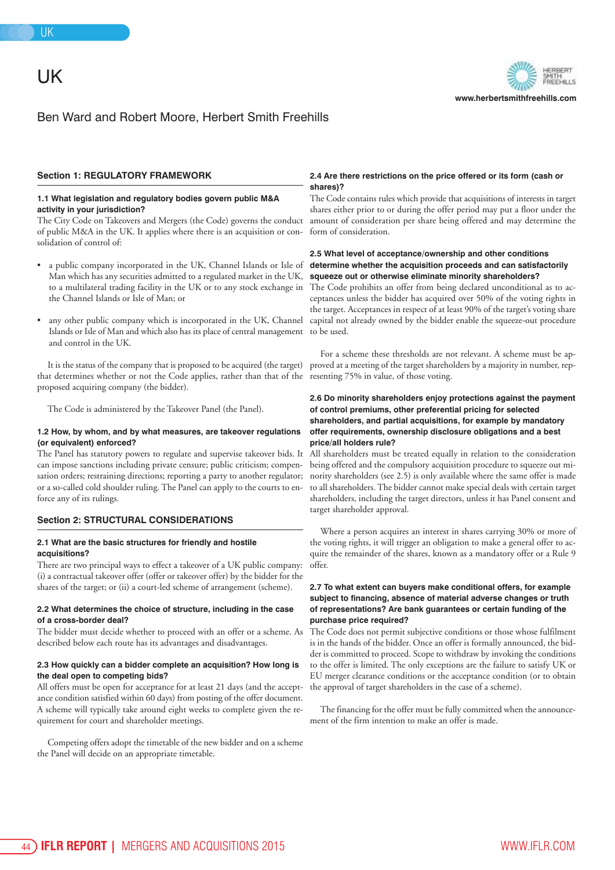### UK

**www.herbertsmithfreehills.com**

#### Ben Ward and Robert Moore, Herbert Smith Freehills

#### **Section 1: REGULATORY FRAMEWORK**

#### **1.1 What legislation and regulatory bodies govern public M&A activity in your jurisdiction?**

The City Code on Takeovers and Mergers (the Code) governs the conduct of public M&A in the UK. It applies where there is an acquisition or consolidation of control of:

- a public company incorporated in the UK, Channel Islands or Isle of Man which has any securities admitted to a regulated market in the UK, to a multilateral trading facility in the UK or to any stock exchange in the Channel Islands or Isle of Man; or
- any other public company which is incorporated in the UK, Channel Islands or Isle of Man and which also has its place of central management and control in the UK.

It is the status of the company that is proposed to be acquired (the target) that determines whether or not the Code applies, rather than that of the resenting 75% in value, of those voting. proposed acquiring company (the bidder).

The Code is administered by the Takeover Panel (the Panel).

#### **1.2 How, by whom, and by what measures, are takeover regulations (or equivalent) enforced?**

The Panel has statutory powers to regulate and supervise takeover bids. It can impose sanctions including private censure; public criticism; compensation orders; restraining directions; reporting a party to another regulator; or a so-called cold shoulder ruling. The Panel can apply to the courts to enforce any of its rulings.

#### **Section 2: STRUCTURAL CONSIDERATIONS**

#### **2.1 What are the basic structures for friendly and hostile acquisitions?**

There are two principal ways to effect a takeover of a UK public company: (i) a contractual takeover offer (offer or takeover offer) by the bidder for the shares of the target; or (ii) a court-led scheme of arrangement (scheme).

#### **2.2 What determines the choice of structure, including in the case of a cross-border deal?**

The bidder must decide whether to proceed with an offer or a scheme. As described below each route has its advantages and disadvantages.

#### **2.3 How quickly can a bidder complete an acquisition? How long is the deal open to competing bids?**

All offers must be open for acceptance for at least 21 days (and the acceptance condition satisfied within 60 days) from posting of the offer document. A scheme will typically take around eight weeks to complete given the requirement for court and shareholder meetings.

Competing offers adopt the timetable of the new bidder and on a scheme the Panel will decide on an appropriate timetable.

#### **2.4 Are there restrictions on the price offered or its form (cash or shares)?**

The Code contains rules which provide that acquisitions of interests in target shares either prior to or during the offer period may put a floor under the amount of consideration per share being offered and may determine the form of consideration.

#### **2.5 What level of acceptance/ownership and other conditions determine whether the acquisition proceeds and can satisfactorily squeeze out or otherwise eliminate minority shareholders?**

The Code prohibits an offer from being declared unconditional as to acceptances unless the bidder has acquired over 50% of the voting rights in the target. Acceptances in respect of at least 90% of the target's voting share capital not already owned by the bidder enable the squeeze-out procedure to be used.

For a scheme these thresholds are not relevant. A scheme must be approved at a meeting of the target shareholders by a majority in number, rep-

#### **2.6 Do minority shareholders enjoy protections against the payment of control premiums, other preferential pricing for selected shareholders, and partial acquisitions, for example by mandatory offer requirements, ownership disclosure obligations and a best price/all holders rule?**

All shareholders must be treated equally in relation to the consideration being offered and the compulsory acquisition procedure to squeeze out minority shareholders (see 2.5) is only available where the same offer is made to all shareholders. The bidder cannot make special deals with certain target shareholders, including the target directors, unless it has Panel consent and target shareholder approval.

Where a person acquires an interest in shares carrying 30% or more of the voting rights, it will trigger an obligation to make a general offer to acquire the remainder of the shares, known as a mandatory offer or a Rule 9 offer.

#### **2.7 To what extent can buyers make conditional offers, for example subject to financing, absence of material adverse changes or truth of representations? Are bank guarantees or certain funding of the purchase price required?**

The Code does not permit subjective conditions or those whose fulfilment is in the hands of the bidder. Once an offer is formally announced, the bidder is committed to proceed. Scope to withdraw by invoking the conditions to the offer is limited. The only exceptions are the failure to satisfy UK or EU merger clearance conditions or the acceptance condition (or to obtain the approval of target shareholders in the case of a scheme).

The financing for the offer must be fully committed when the announcement of the firm intention to make an offer is made.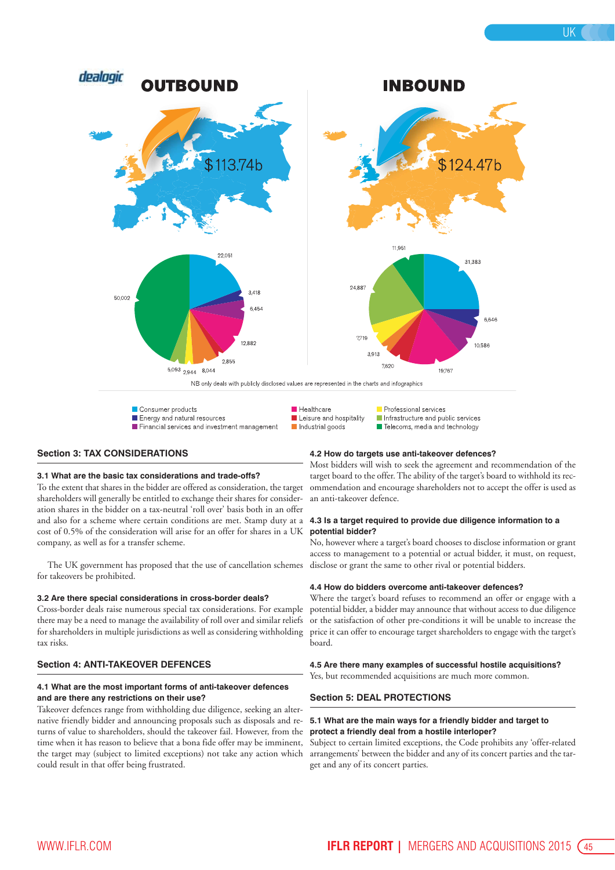

#### **Section 3: TAX CONSIDERATIONS**

#### **3.1 What are the basic tax considerations and trade-offs?**

To the extent that shares in the bidder are offered as consideration, the target shareholders will generally be entitled to exchange their shares for consideration shares in the bidder on a tax-neutral 'roll over' basis both in an offer and also for a scheme where certain conditions are met. Stamp duty at a cost of 0.5% of the consideration will arise for an offer for shares in a UK company, as well as for a transfer scheme.

The UK government has proposed that the use of cancellation schemes for takeovers be prohibited.

#### **3.2 Are there special considerations in cross-border deals?**

Cross-border deals raise numerous special tax considerations. For example there may be a need to manage the availability of roll over and similar reliefs for shareholders in multiple jurisdictions as well as considering withholding tax risks.

#### **Section 4: ANTI-TAKEOVER DEFENCES**

#### **4.1 What are the most important forms of anti-takeover defences and are there any restrictions on their use?**

Takeover defences range from withholding due diligence, seeking an alternative friendly bidder and announcing proposals such as disposals and returns of value to shareholders, should the takeover fail. However, from the time when it has reason to believe that a bona fide offer may be imminent, the target may (subject to limited exceptions) not take any action which could result in that offer being frustrated.

#### **4.2 How do targets use anti-takeover defences?**

Most bidders will wish to seek the agreement and recommendation of the target board to the offer. The ability of the target's board to withhold its recommendation and encourage shareholders not to accept the offer is used as an anti-takeover defence.

#### **4.3 Is a target required to provide due diligence information to a potential bidder?**

No, however where a target's board chooses to disclose information or grant access to management to a potential or actual bidder, it must, on request, disclose or grant the same to other rival or potential bidders.

#### **4.4 How do bidders overcome anti-takeover defences?**

Where the target's board refuses to recommend an offer or engage with a potential bidder, a bidder may announce that without access to due diligence or the satisfaction of other pre-conditions it will be unable to increase the price it can offer to encourage target shareholders to engage with the target's board.

**4.5 Are there many examples of successful hostile acquisitions?** Yes, but recommended acquisitions are much more common.

#### **Section 5: DEAL PROTECTIONS**

#### **5.1 What are the main ways for a friendly bidder and target to protect a friendly deal from a hostile interloper?**

Subject to certain limited exceptions, the Code prohibits any 'offer-related arrangements' between the bidder and any of its concert parties and the target and any of its concert parties.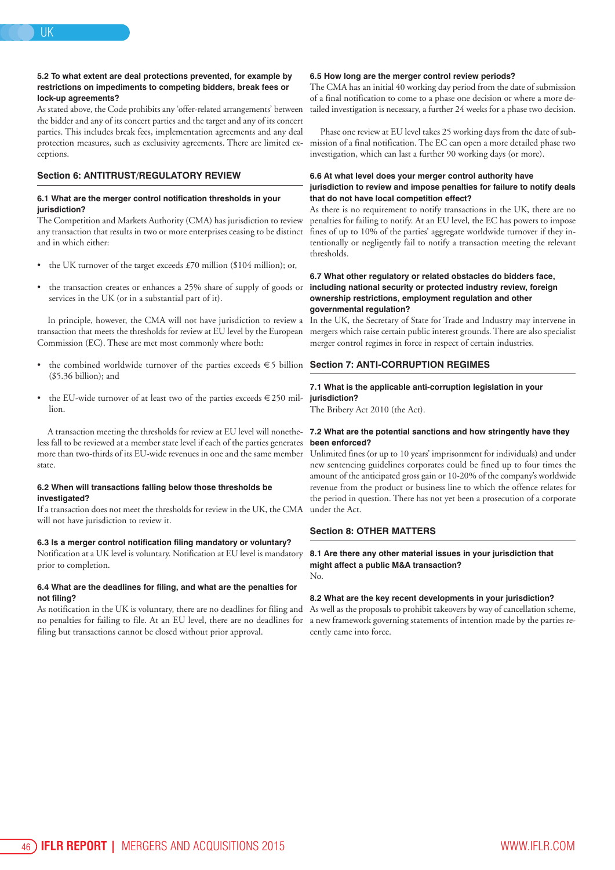#### **5.2 To what extent are deal protections prevented, for example by restrictions on impediments to competing bidders, break fees or lock-up agreements?**

As stated above, the Code prohibits any 'offer-related arrangements' between the bidder and any of its concert parties and the target and any of its concert parties. This includes break fees, implementation agreements and any deal protection measures, such as exclusivity agreements. There are limited exceptions.

#### **Section 6: ANTITRUST/REGULATORY REVIEW**

#### **6.1 What are the merger control notification thresholds in your jurisdiction?**

The Competition and Markets Authority (CMA) has jurisdiction to review any transaction that results in two or more enterprises ceasing to be distinct and in which either:

- the UK turnover of the target exceeds £70 million (\$104 million); or,
- the transaction creates or enhances a 25% share of supply of goods or services in the UK (or in a substantial part of it).

In principle, however, the CMA will not have jurisdiction to review a transaction that meets the thresholds for review at EU level by the European Commission (EC). These are met most commonly where both:

- the combined worldwide turnover of the parties exceeds  $\epsilon$  5 billion (\$5.36 billion); and
- the EU-wide turnover of at least two of the parties exceeds  $\in$  250 million.

A transaction meeting the thresholds for review at EU level will nonetheless fall to be reviewed at a member state level if each of the parties generates more than two-thirds of its EU-wide revenues in one and the same member state.

#### **6.2 When will transactions falling below those thresholds be investigated?**

If a transaction does not meet the thresholds for review in the UK, the CMA will not have jurisdiction to review it.

#### **6.3 Is a merger control notification filing mandatory or voluntary?**

Notification at a UK level is voluntary. Notification at EU level is mandatory prior to completion.

#### **6.4 What are the deadlines for filing, and what are the penalties for not filing?**

As notification in the UK is voluntary, there are no deadlines for filing and no penalties for failing to file. At an EU level, there are no deadlines for filing but transactions cannot be closed without prior approval.

#### **6.5 How long are the merger control review periods?**

The CMA has an initial 40 working day period from the date of submission of a final notification to come to a phase one decision or where a more detailed investigation is necessary, a further 24 weeks for a phase two decision.

Phase one review at EU level takes 25 working days from the date of submission of a final notification. The EC can open a more detailed phase two investigation, which can last a further 90 working days (or more).

#### **6.6 At what level does your merger control authority have jurisdiction to review and impose penalties for failure to notify deals that do not have local competition effect?**

As there is no requirement to notify transactions in the UK, there are no penalties for failing to notify. At an EU level, the EC has powers to impose fines of up to 10% of the parties' aggregate worldwide turnover if they intentionally or negligently fail to notify a transaction meeting the relevant thresholds.

#### **6.7 What other regulatory or related obstacles do bidders face, including national security or protected industry review, foreign ownership restrictions, employment regulation and other governmental regulation?**

In the UK, the Secretary of State for Trade and Industry may intervene in mergers which raise certain public interest grounds. There are also specialist merger control regimes in force in respect of certain industries.

#### **Section 7: ANTI-CORRUPTION REGIMES**

#### **7.1 What is the applicable anti-corruption legislation in your jurisdiction?**

The Bribery Act 2010 (the Act).

#### **7.2 What are the potential sanctions and how stringently have they been enforced?**

Unlimited fines (or up to 10 years' imprisonment for individuals) and under new sentencing guidelines corporates could be fined up to four times the amount of the anticipated gross gain or 10-20% of the company's worldwide revenue from the product or business line to which the offence relates for the period in question. There has not yet been a prosecution of a corporate under the Act.

#### **Section 8: OTHER MATTERS**

#### **8.1 Are there any other material issues in your jurisdiction that might affect a public M&A transaction?** No.

#### **8.2 What are the key recent developments in your jurisdiction?**

As well as the proposals to prohibit takeovers by way of cancellation scheme, a new framework governing statements of intention made by the parties recently came into force.